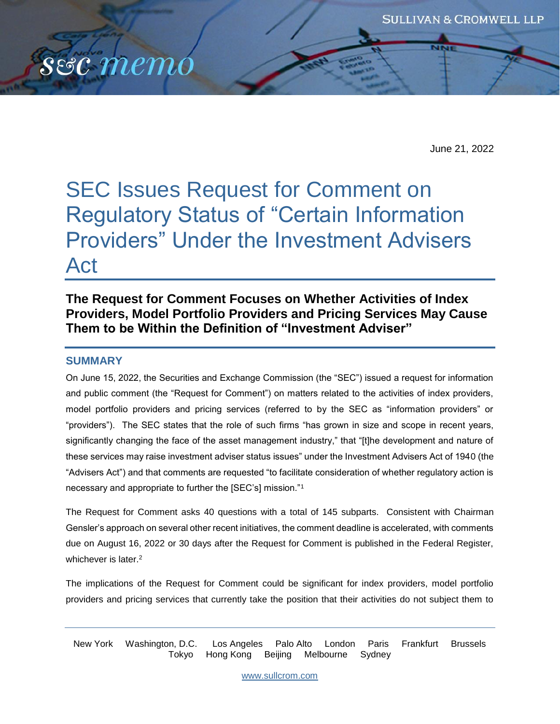

June 21, 2022

# SEC Issues Request for Comment on Regulatory Status of "Certain Information Providers" Under the Investment Advisers Act

## **The Request for Comment Focuses on Whether Activities of Index Providers, Model Portfolio Providers and Pricing Services May Cause Them to be Within the Definition of "Investment Adviser"**

#### **SUMMARY**

On June 15, 2022, the Securities and Exchange Commission (the "SEC") issued a request for information and public comment (the "Request for Comment") on matters related to the activities of index providers, model portfolio providers and pricing services (referred to by the SEC as "information providers" or "providers"). The SEC states that the role of such firms "has grown in size and scope in recent years, significantly changing the face of the asset management industry," that "[t]he development and nature of these services may raise investment adviser status issues" under the Investment Advisers Act of 1940 (the "Advisers Act") and that comments are requested "to facilitate consideration of whether regulatory action is necessary and appropriate to further the [SEC's] mission."<sup>1</sup>

The Request for Comment asks 40 questions with a total of 145 subparts. Consistent with Chairman Gensler's approach on several other recent initiatives, the comment deadline is accelerated, with comments due on August 16, 2022 or 30 days after the Request for Comment is published in the Federal Register, whichever is later.<sup>2</sup>

The implications of the Request for Comment could be significant for index providers, model portfolio providers and pricing services that currently take the position that their activities do not subject them to

New York Washington, D.C. Los Angeles Palo Alto London Paris Frankfurt Brussels Tokyo Hong Kong Beijing Melbourne Sydney

[www.sullcrom.com](http://www.sullcrom.com/)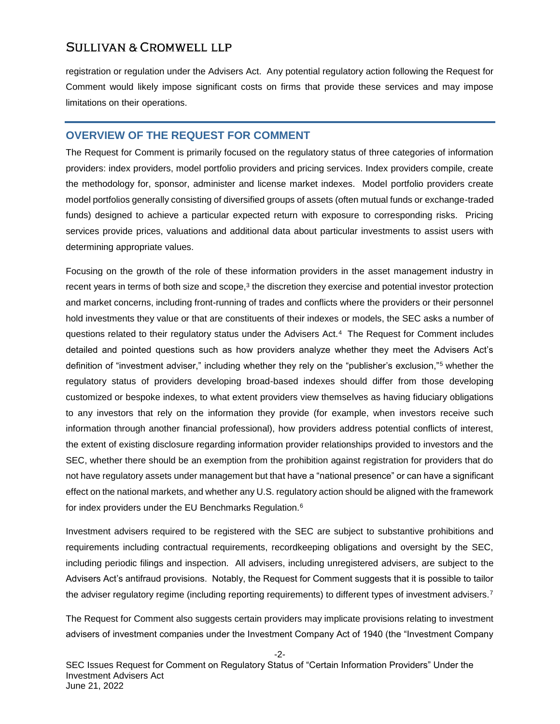registration or regulation under the Advisers Act. Any potential regulatory action following the Request for Comment would likely impose significant costs on firms that provide these services and may impose limitations on their operations.

#### **OVERVIEW OF THE REQUEST FOR COMMENT**

The Request for Comment is primarily focused on the regulatory status of three categories of information providers: index providers, model portfolio providers and pricing services. Index providers compile, create the methodology for, sponsor, administer and license market indexes. Model portfolio providers create model portfolios generally consisting of diversified groups of assets (often mutual funds or exchange-traded funds) designed to achieve a particular expected return with exposure to corresponding risks. Pricing services provide prices, valuations and additional data about particular investments to assist users with determining appropriate values.

Focusing on the growth of the role of these information providers in the asset management industry in recent years in terms of both size and scope, $3$  the discretion they exercise and potential investor protection and market concerns, including front-running of trades and conflicts where the providers or their personnel hold investments they value or that are constituents of their indexes or models, the SEC asks a number of questions related to their regulatory status under the Advisers Act.<sup>4</sup> The Request for Comment includes detailed and pointed questions such as how providers analyze whether they meet the Advisers Act's definition of "investment adviser," including whether they rely on the "publisher's exclusion,"<sup>5</sup> whether the regulatory status of providers developing broad-based indexes should differ from those developing customized or bespoke indexes, to what extent providers view themselves as having fiduciary obligations to any investors that rely on the information they provide (for example, when investors receive such information through another financial professional), how providers address potential conflicts of interest, the extent of existing disclosure regarding information provider relationships provided to investors and the SEC, whether there should be an exemption from the prohibition against registration for providers that do not have regulatory assets under management but that have a "national presence" or can have a significant effect on the national markets, and whether any U.S. regulatory action should be aligned with the framework for index providers under the EU Benchmarks Regulation.<sup>6</sup>

Investment advisers required to be registered with the SEC are subject to substantive prohibitions and requirements including contractual requirements, recordkeeping obligations and oversight by the SEC, including periodic filings and inspection. All advisers, including unregistered advisers, are subject to the Advisers Act's antifraud provisions. Notably, the Request for Comment suggests that it is possible to tailor the adviser regulatory regime (including reporting requirements) to different types of investment advisers.<sup>7</sup>

The Request for Comment also suggests certain providers may implicate provisions relating to investment advisers of investment companies under the Investment Company Act of 1940 (the "Investment Company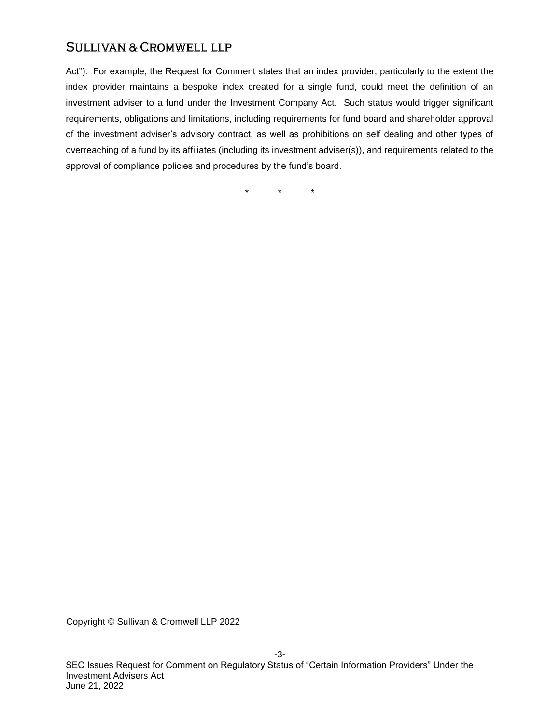Act"). For example, the Request for Comment states that an index provider, particularly to the extent the index provider maintains a bespoke index created for a single fund, could meet the definition of an investment adviser to a fund under the Investment Company Act. Such status would trigger significant requirements, obligations and limitations, including requirements for fund board and shareholder approval of the investment adviser's advisory contract, as well as prohibitions on self dealing and other types of overreaching of a fund by its affiliates (including its investment adviser(s)), and requirements related to the approval of compliance policies and procedures by the fund's board.

\* \* \*

Copyright © Sullivan & Cromwell LLP 2022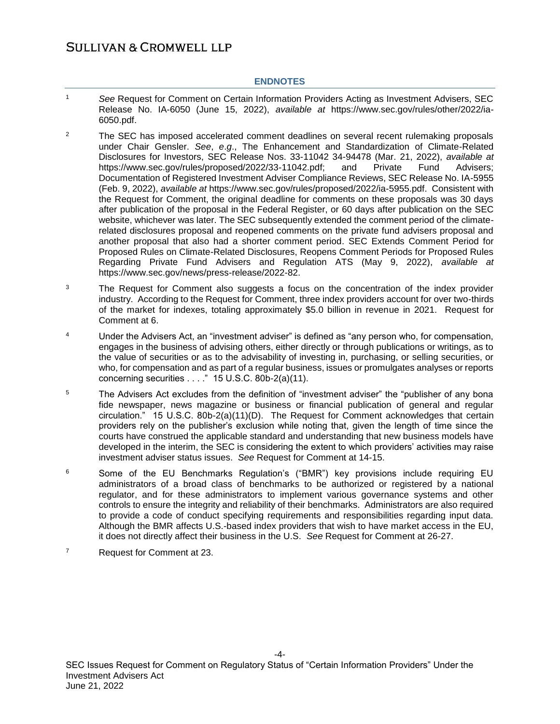#### **ENDNOTES**

- <sup>1</sup> *See* Request for Comment on Certain Information Providers Acting as Investment Advisers, SEC Release No. IA-6050 (June 15, 2022), *available at* https://www.sec.gov/rules/other/2022/ia-6050.pdf.
- <sup>2</sup> The SEC has imposed accelerated comment deadlines on several recent rulemaking proposals under Chair Gensler. *See*, *e*.*g*., The Enhancement and Standardization of Climate-Related Disclosures for Investors, SEC Release Nos. 33-11042 34-94478 (Mar. 21, 2022), *available at* https://www.sec.gov/rules/proposed/2022/33-11042.pdf; and Private Fund Advisers; Documentation of Registered Investment Adviser Compliance Reviews, SEC Release No. IA-5955 (Feb. 9, 2022), *available at* https://www.sec.gov/rules/proposed/2022/ia-5955.pdf. Consistent with the Request for Comment, the original deadline for comments on these proposals was 30 days after publication of the proposal in the Federal Register, or 60 days after publication on the SEC website, whichever was later. The SEC subsequently extended the comment period of the climaterelated disclosures proposal and reopened comments on the private fund advisers proposal and another proposal that also had a shorter comment period. SEC Extends Comment Period for Proposed Rules on Climate-Related Disclosures, Reopens Comment Periods for Proposed Rules Regarding Private Fund Advisers and Regulation ATS (May 9, 2022), *available at* https://www.sec.gov/news/press-release/2022-82.
- <sup>3</sup> The Request for Comment also suggests a focus on the concentration of the index provider industry. According to the Request for Comment, three index providers account for over two-thirds of the market for indexes, totaling approximately \$5.0 billion in revenue in 2021. Request for Comment at 6.
- <sup>4</sup> Under the Advisers Act, an "investment adviser" is defined as "any person who, for compensation, engages in the business of advising others, either directly or through publications or writings, as to the value of securities or as to the advisability of investing in, purchasing, or selling securities, or who, for compensation and as part of a regular business, issues or promulgates analyses or reports concerning securities  $\dots$  " 15 U.S.C. 80b-2(a)(11).
- <sup>5</sup> The Advisers Act excludes from the definition of "investment adviser" the "publisher of any bona fide newspaper, news magazine or business or financial publication of general and regular circulation." 15 U.S.C. 80b-2(a)(11)(D). The Request for Comment acknowledges that certain providers rely on the publisher's exclusion while noting that, given the length of time since the courts have construed the applicable standard and understanding that new business models have developed in the interim, the SEC is considering the extent to which providers' activities may raise investment adviser status issues. *See* Request for Comment at 14-15.
- <sup>6</sup> Some of the EU Benchmarks Regulation's ("BMR") key provisions include requiring EU administrators of a broad class of benchmarks to be authorized or registered by a national regulator, and for these administrators to implement various governance systems and other controls to ensure the integrity and reliability of their benchmarks. Administrators are also required to provide a code of conduct specifying requirements and responsibilities regarding input data. Although the BMR affects U.S.-based index providers that wish to have market access in the EU, it does not directly affect their business in the U.S. *See* Request for Comment at 26-27.
- <sup>7</sup> Request for Comment at 23.